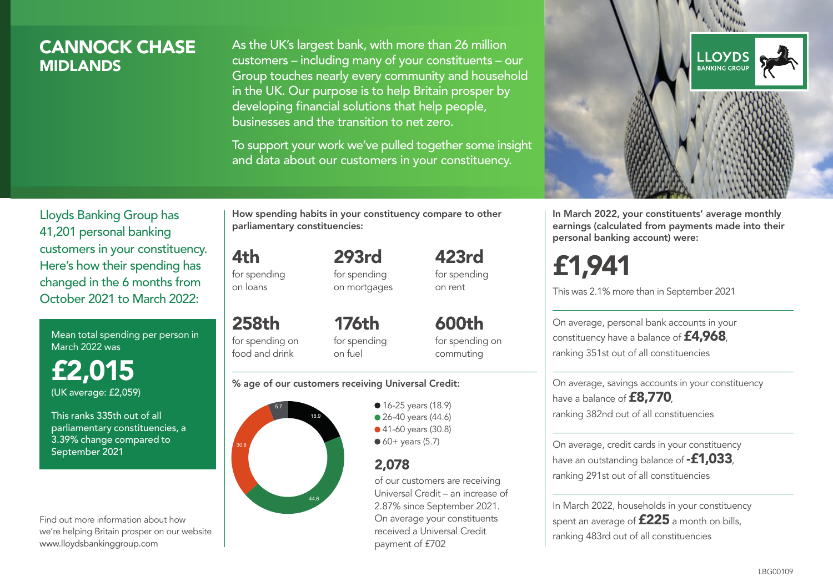## CANNOCK CHASE **MIDI ANDS**

As the UK's largest bank, with more than 26 million customers – including many of your constituents – our Group touches nearly every community and household in the UK. Our purpose is to help Britain prosper by developing financial solutions that help people, businesses and the transition to net zero.

To support your work we've pulled together some insight and data about our customers in your constituency.



In March 2022, your constituents' average monthly earnings (calculated from payments made into their personal banking account) were:

# £1,941

This was 2.1% more than in September 2021

On average, personal bank accounts in your constituency have a balance of £4,968, ranking 351st out of all constituencies

On average, savings accounts in your constituency have a balance of **£8,770** ranking 382nd out of all constituencies

On average, credit cards in your constituency have an outstanding balance of **-£1,033** ranking 291st out of all constituencies

In March 2022, households in your constituency spent an average of £225 a month on bills, ranking 483rd out of all constituencies

Lloyds Banking Group has 41,201 personal banking customers in your constituency. Here's how their spending has changed in the 6 months from October 2021 to March 2022:

Mean total spending per person in March 2022 was

£2,015 (UK average: £2,059)

This ranks 335th out of all parliamentary constituencies, a 3.39% change compared to September 2021

Find out more information about how we're helping Britain prosper on our website www.lloydsbankinggroup.com

How spending habits in your constituency compare to other parliamentary constituencies:

for spending 293rd

4th

on loans

258th for spending on food and drink

for spending on mortgages 423rd for spending on rent

176th for spending on fuel

600th for spending on commuting

#### % age of our customers receiving Universal Credit:



• 16-25 years (18.9) • 26-40 years (44.6) ● 41-60 years (30.8)  $60+$  years (5.7)

## 2,078

of our customers are receiving Universal Credit – an increase of 2.87% since September 2021. On average your constituents received a Universal Credit payment of £702